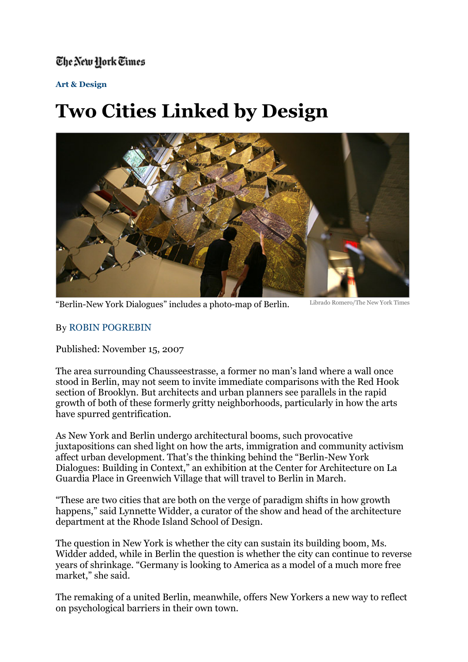## The New Hork Times

Art & Design

## Two Cities Linked by Design



"Berlin-New York Dialogues" includes a photo-map of Berlin. Librado Romero/The New York Times

## By ROBIN POGREBIN

Published: November 15, 2007

The area surrounding Chausseestrasse, a former no man's land where a wall once stood in Berlin, may not seem to invite immediate comparisons with the Red Hook section of Brooklyn. But architects and urban planners see parallels in the rapid growth of both of these formerly gritty neighborhoods, particularly in how the arts have spurred gentrification.

As New York and Berlin undergo architectural booms, such provocative juxtapositions can shed light on how the arts, immigration and community activism affect urban development. That's the thinking behind the "Berlin-New York Dialogues: Building in Context," an exhibition at the Center for Architecture on La Guardia Place in Greenwich Village that will travel to Berlin in March.

"These are two cities that are both on the verge of paradigm shifts in how growth happens," said Lynnette Widder, a curator of the show and head of the architecture department at the Rhode Island School of Design.

The question in New York is whether the city can sustain its building boom, Ms. Widder added, while in Berlin the question is whether the city can continue to reverse years of shrinkage. "Germany is looking to America as a model of a much more free market," she said.

The remaking of a united Berlin, meanwhile, offers New Yorkers a new way to reflect on psychological barriers in their own town.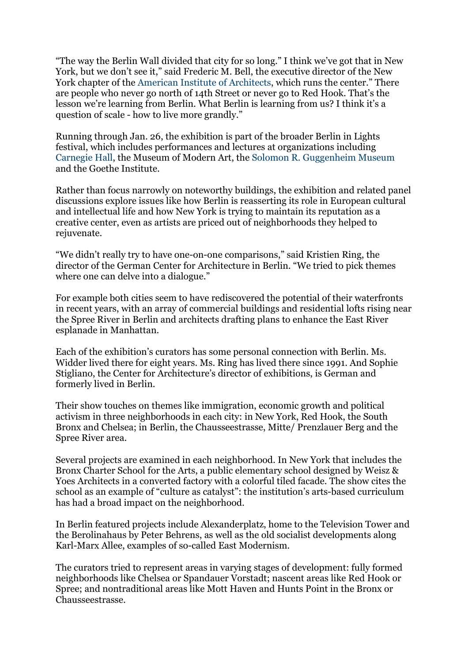"The way the Berlin Wall divided that city for so long." I think we've got that in New York, but we don't see it," said Frederic M. Bell, the executive director of the New York chapter of the American Institute of Architects, which runs the center." There are people who never go north of 14th Street or never go to Red Hook. That's the lesson we're learning from Berlin. What Berlin is learning from us? I think it's a question of scale - how to live more grandly."

Running through Jan. 26, the exhibition is part of the broader Berlin in Lights festival, which includes performances and lectures at organizations including Carnegie Hall, the Museum of Modern Art, the Solomon R. Guggenheim Museum and the Goethe Institute.

Rather than focus narrowly on noteworthy buildings, the exhibition and related panel discussions explore issues like how Berlin is reasserting its role in European cultural and intellectual life and how New York is trying to maintain its reputation as a creative center, even as artists are priced out of neighborhoods they helped to rejuvenate.

"We didn't really try to have one-on-one comparisons," said Kristien Ring, the director of the German Center for Architecture in Berlin. "We tried to pick themes where one can delve into a dialogue."

For example both cities seem to have rediscovered the potential of their waterfronts in recent years, with an array of commercial buildings and residential lofts rising near the Spree River in Berlin and architects drafting plans to enhance the East River esplanade in Manhattan.

Each of the exhibition's curators has some personal connection with Berlin. Ms. Widder lived there for eight years. Ms. Ring has lived there since 1991. And Sophie Stigliano, the Center for Architecture's director of exhibitions, is German and formerly lived in Berlin.

Their show touches on themes like immigration, economic growth and political activism in three neighborhoods in each city: in New York, Red Hook, the South Bronx and Chelsea; in Berlin, the Chausseestrasse, Mitte/ Prenzlauer Berg and the Spree River area.

Several projects are examined in each neighborhood. In New York that includes the Bronx Charter School for the Arts, a public elementary school designed by Weisz & Yoes Architects in a converted factory with a colorful tiled facade. The show cites the school as an example of "culture as catalyst": the institution's arts-based curriculum has had a broad impact on the neighborhood.

In Berlin featured projects include Alexanderplatz, home to the Television Tower and the Berolinahaus by Peter Behrens, as well as the old socialist developments along Karl-Marx Allee, examples of so-called East Modernism.

The curators tried to represent areas in varying stages of development: fully formed neighborhoods like Chelsea or Spandauer Vorstadt; nascent areas like Red Hook or Spree; and nontraditional areas like Mott Haven and Hunts Point in the Bronx or Chausseestrasse.